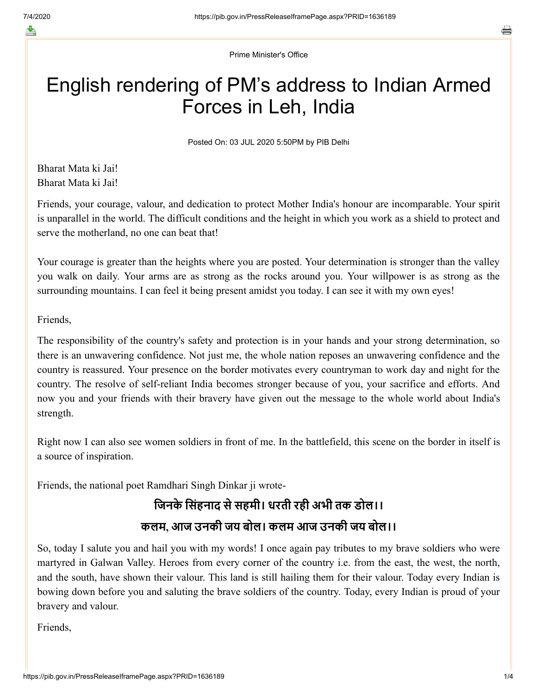≛

Prime Minister's Office

# English rendering of PM's address to Indian Armed Forces in Leh, India

Posted On: 03 JUL 2020 5:50PM by PIB Delhi

Bharat Mata ki Jai! Bharat Mata ki Jai!

Friends, your courage, valour, and dedication to protect Mother India's honour are incomparable. Your spirit is unparallel in the world. The difficult conditions and the height in which you work as a shield to protect and serve the motherland, no one can beat that!

Your courage is greater than the heights where you are posted. Your determination is stronger than the valley you walk on daily. Your arms are as strong as the rocks around you. Your willpower is as strong as the surrounding mountains. I can feel it being present amidst you today. I can see it with my own eyes!

#### Friends,

The responsibility of the country's safety and protection is in your hands and your strong determination, so there is an unwavering confidence. Not just me, the whole nation reposes an unwavering confidence and the country is reassured. Your presence on the border motivates every countryman to work day and night for the country. The resolve of self-reliant India becomes stronger because of you, your sacrifice and efforts. And now you and your friends with their bravery have given out the message to the whole world about India's strength.

Right now I can also see women soldiers in front of me. In the battlefield, this scene on the border in itself is a source of inspiration.

Friends, the national poet Ramdhari Singh Dinkar ji wrote-

## जिनके सिंहनाद से सहमी। धरती रही अभी तक डोल।। कलम, आज उनकी जय बोल। कलम आज उनकी जय बोल।।

So, today I salute you and hail you with my words! I once again pay tributes to my brave soldiers who were martyred in Galwan Valley. Heroes from every corner of the country i.e. from the east, the west, the north, and the south, have shown their valour. This land is still hailing them for their valour. Today every Indian is bowing down before you and saluting the brave soldiers of the country. Today, every Indian is proud of your bravery and valour.

Friends,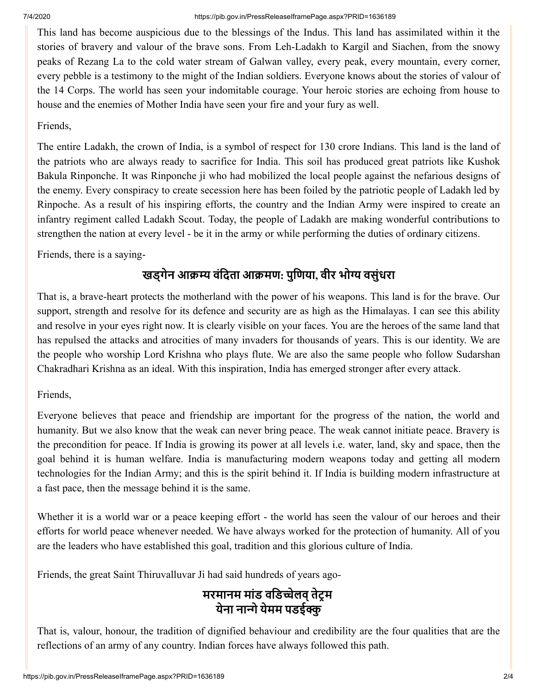This land has become auspicious due to the blessings of the Indus. This land has assimilated within it the stories of bravery and valour of the brave sons. From Leh-Ladakh to Kargil and Siachen, from the snowy peaks of Rezang La to the cold water stream of Galwan valley, every peak, every mountain, every corner, every pebble is a testimony to the might of the Indian soldiers. Everyone knows about the stories of valour of the 14 Corps. The world has seen your indomitable courage. Your heroic stories are echoing from house to house and the enemies of Mother India have seen your fire and your fury as well.

### Friends,

The entire Ladakh, the crown of India, is a symbol of respect for 130 crore Indians. This land is the land of the patriots who are always ready to sacrifice for India. This soil has produced great patriots like Kushok Bakula Rinponche. It was Rinponche ji who had mobilized the local people against the nefarious designs of the enemy. Every conspiracy to create secession here has been foiled by the patriotic people of Ladakh led by Rinpoche. As a result of his inspiring efforts, the country and the Indian Army were inspired to create an infantry regiment called Ladakh Scout. Today, the people of Ladakh are making wonderful contributions to strengthen the nation at every level - be it in the army or while performing the duties of ordinary citizens.

Friends, there is a saying-

### खड्गेन आक्रम्य वंदिता आक्रमण: पुणिया, वीर भोग्य वसुंधरा

That is, a brave-heart protects the motherland with the power of his weapons. This land is for the brave. Our support, strength and resolve for its defence and security are as high as the Himalayas. I can see this ability and resolve in your eyes right now. It is clearly visible on your faces. You are the heroes of the same land that has repulsed the attacks and atrocities of many invaders for thousands of years. This is our identity. We are the people who worship Lord Krishna who plays flute. We are also the same people who follow Sudarshan Chakradhari Krishna as an ideal. With this inspiration, India has emerged stronger after every attack.

### Friends,

Everyone believes that peace and friendship are important for the progress of the nation, the world and humanity. But we also know that the weak can never bring peace. The weak cannot initiate peace. Bravery is the precondition for peace. If India is growing its power at all levels i.e. water, land, sky and space, then the goal behind it is human welfare. India is manufacturing modern weapons today and getting all modern technologies for the Indian Army; and this is the spirit behind it. If India is building modern infrastructure at a fast pace, then the message behind it is the same.

Whether it is a world war or a peace keeping effort - the world has seen the valour of our heroes and their efforts for world peace whenever needed. We have always worked for the protection of humanity. All of you are the leaders who have established this goal, tradition and this glorious culture of India.

Friends, the great Saint Thiruvalluvar Ji had said hundreds of years ago-

### मरमानम मांड वडिच्चेलव् तेंट्रम येना नान्गे येमम पडईक्कु

That is, valour, honour, the tradition of dignified behaviour and credibility are the four qualities that are the reflections of an army of any country. Indian forces have always followed this path.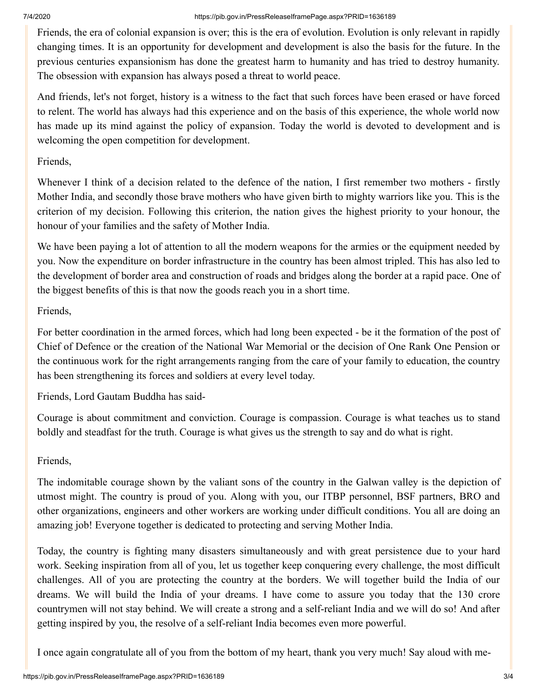Friends, the era of colonial expansion is over; this is the era of evolution. Evolution is only relevant in rapidly changing times. It is an opportunity for development and development is also the basis for the future. In the previous centuries expansionism has done the greatest harm to humanity and has tried to destroy humanity. The obsession with expansion has always posed a threat to world peace.

And friends, let's not forget, history is a witness to the fact that such forces have been erased or have forced to relent. The world has always had this experience and on the basis of this experience, the whole world now has made up its mind against the policy of expansion. Today the world is devoted to development and is welcoming the open competition for development.

### Friends,

Whenever I think of a decision related to the defence of the nation, I first remember two mothers - firstly Mother India, and secondly those brave mothers who have given birth to mighty warriors like you. This is the criterion of my decision. Following this criterion, the nation gives the highest priority to your honour, the honour of your families and the safety of Mother India.

We have been paying a lot of attention to all the modern weapons for the armies or the equipment needed by you. Now the expenditure on border infrastructure in the country has been almost tripled. This has also led to the development of border area and construction of roads and bridges along the border at a rapid pace. One of the biggest benefits of this is that now the goods reach you in a short time.

### Friends,

For better coordination in the armed forces, which had long been expected - be it the formation of the post of Chief of Defence or the creation of the National War Memorial or the decision of One Rank One Pension or the continuous work for the right arrangements ranging from the care of your family to education, the country has been strengthening its forces and soldiers at every level today.

Friends, Lord Gautam Buddha has said-

Courage is about commitment and conviction. Courage is compassion. Courage is what teaches us to stand boldly and steadfast for the truth. Courage is what gives us the strength to say and do what is right.

### Friends,

The indomitable courage shown by the valiant sons of the country in the Galwan valley is the depiction of utmost might. The country is proud of you. Along with you, our ITBP personnel, BSF partners, BRO and other organizations, engineers and other workers are working under difficult conditions. You all are doing an amazing job! Everyone together is dedicated to protecting and serving Mother India.

Today, the country is fighting many disasters simultaneously and with great persistence due to your hard work. Seeking inspiration from all of you, let us together keep conquering every challenge, the most difficult challenges. All of you are protecting the country at the borders. We will together build the India of our dreams. We will build the India of your dreams. I have come to assure you today that the 130 crore countrymen will not stay behind. We will create a strong and a self-reliant India and we will do so! And after getting inspired by you, the resolve of a self-reliant India becomes even more powerful.

I once again congratulate all of you from the bottom of my heart, thank you very much! Say aloud with me-